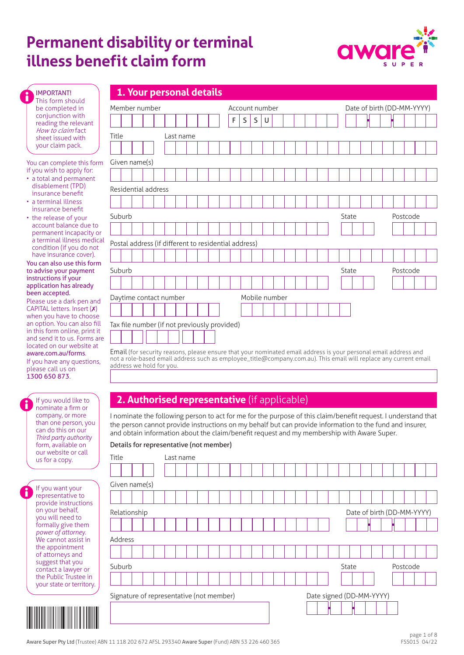# **Permanent disability or terminal illness benefit claim form**



| <b>IMPORTANT!</b>    |
|----------------------|
| This form should     |
| be completed in      |
| conjunction with     |
| reading the relevant |
| How to claim fact    |
| sheet issued with    |
| your claim pack.     |

You can complete this form if you wish to apply for:

- a total and permanent disablement (TPD) insurance benefit
- a terminal illness insurance benefit
- the release of your account balance due to permanent incapacity or a terminal illness medical condition (if you do not have insurance cover).

#### You can also use this form to advise your payment instructions if your application has already been accepted.

| Please use a dark pen and     |
|-------------------------------|
| CAPITAL letters. Insert (X)   |
| when you have to choose       |
| an option. You can also fill  |
| in this form online, print it |
| and send it to us. Forms are  |
| located on our website at     |
| aware.com.au/forms.           |
|                               |

If you have any questions, please call us on 1300 650 873.

| If you would like to  |
|-----------------------|
| nominate a firm or    |
| company, or more      |
| than one person, you  |
| can do this on our    |
| Third party authority |
| form, available on    |
| our website or call   |
| us for a copy.        |

| lf you want your         |
|--------------------------|
| representative to        |
| provide instructions     |
| on your behalf,          |
| you will need to         |
| formally give them       |
| power of attorney.       |
| We cannot assist in      |
| the appointment          |
| of attorneys and         |
| suggest that you         |
| contact a lawyer or      |
| the Public Trustee in    |
| your state or territory. |
|                          |

| 1. Your personal details |  |  |
|--------------------------|--|--|
|                          |  |  |

| Member number                                        | Account number             | Date of birth (DD-MM-YYYY) |  |  |  |  |
|------------------------------------------------------|----------------------------|----------------------------|--|--|--|--|
|                                                      | $\mathsf F$<br>S<br>S<br>U |                            |  |  |  |  |
| Title<br>Last name                                   |                            |                            |  |  |  |  |
|                                                      |                            |                            |  |  |  |  |
| Given name(s)                                        |                            |                            |  |  |  |  |
|                                                      |                            |                            |  |  |  |  |
| Residential address                                  |                            |                            |  |  |  |  |
|                                                      |                            |                            |  |  |  |  |
| Suburb                                               |                            | State<br>Postcode          |  |  |  |  |
|                                                      |                            |                            |  |  |  |  |
| Postal address (if different to residential address) |                            |                            |  |  |  |  |
|                                                      |                            |                            |  |  |  |  |
| Suburb                                               |                            | State<br>Postcode          |  |  |  |  |
|                                                      |                            |                            |  |  |  |  |
| Daytime contact number                               | Mobile number              |                            |  |  |  |  |
|                                                      |                            |                            |  |  |  |  |
| Tax file number (if not previously provided)         |                            |                            |  |  |  |  |
|                                                      |                            |                            |  |  |  |  |

Email (for security reasons, please ensure that your nominated email address is your personal email address and not a role-based email address such as employee\_title@company.com.au). This email will replace any current email address we hold for you.

# **2. Authorised representative** (if applicable)

I nominate the following person to act for me for the purpose of this claim/benefit request. I understand that the person cannot provide instructions on my behalf but can provide information to the fund and insurer, and obtain information about the claim/benefit request and my membership with Aware Super.

## Details for representative (not member)

| Title                                    |                                            |  |               |  |  | Last name |                          |  |  |  |  |  |  |  |  |  |  |  |  |       |  |  |          |  |  |
|------------------------------------------|--------------------------------------------|--|---------------|--|--|-----------|--------------------------|--|--|--|--|--|--|--|--|--|--|--|--|-------|--|--|----------|--|--|
|                                          |                                            |  |               |  |  |           |                          |  |  |  |  |  |  |  |  |  |  |  |  |       |  |  |          |  |  |
|                                          |                                            |  | Given name(s) |  |  |           |                          |  |  |  |  |  |  |  |  |  |  |  |  |       |  |  |          |  |  |
|                                          |                                            |  |               |  |  |           |                          |  |  |  |  |  |  |  |  |  |  |  |  |       |  |  |          |  |  |
|                                          | Relationship<br>Date of birth (DD-MM-YYYY) |  |               |  |  |           |                          |  |  |  |  |  |  |  |  |  |  |  |  |       |  |  |          |  |  |
|                                          |                                            |  |               |  |  |           |                          |  |  |  |  |  |  |  |  |  |  |  |  |       |  |  |          |  |  |
|                                          | Address                                    |  |               |  |  |           |                          |  |  |  |  |  |  |  |  |  |  |  |  |       |  |  |          |  |  |
|                                          |                                            |  |               |  |  |           |                          |  |  |  |  |  |  |  |  |  |  |  |  |       |  |  |          |  |  |
|                                          | Suburb                                     |  |               |  |  |           |                          |  |  |  |  |  |  |  |  |  |  |  |  | State |  |  | Postcode |  |  |
|                                          |                                            |  |               |  |  |           |                          |  |  |  |  |  |  |  |  |  |  |  |  |       |  |  |          |  |  |
| Signature of representative (not member) |                                            |  |               |  |  |           | Date signed (DD-MM-YYYY) |  |  |  |  |  |  |  |  |  |  |  |  |       |  |  |          |  |  |
|                                          |                                            |  |               |  |  |           |                          |  |  |  |  |  |  |  |  |  |  |  |  |       |  |  |          |  |  |
|                                          |                                            |  |               |  |  |           |                          |  |  |  |  |  |  |  |  |  |  |  |  |       |  |  |          |  |  |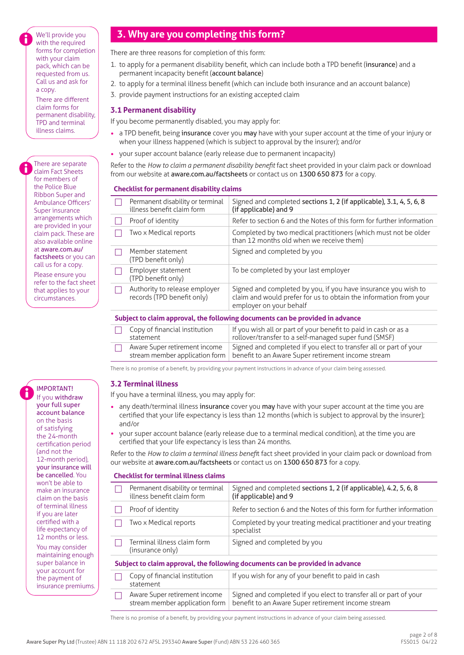We'll provide you with the required forms for completion with your claim pack, which can be requested from us. Call us and ask for a copy.

There are different claim forms for permanent disability, TPD and terminal illness claims.

There are separate claim Fact Sheets for members of the Police Blue Ribbon Super and Ambulance Officers' Super insurance arrangements which are provided in your claim pack. These are also available online at aware.com.au/ factsheets or you can call us for a copy. Please ensure you refer to the fact sheet that applies to your circumstances.

#### If you withdraw your full super

IMPORTANT!

account balance on the basis of satisfying the 24-month certification period (and not the 12-month period), your insurance will be cancelled. You won't be able to make an insurance claim on the basis of terminal illness if you are later certified with a life expectancy of 12 months or less.

You may consider maintaining enough super balance in your account for the payment of insurance premiums.

# **3. Why are you completing this form?**

There are three reasons for completion of this form:

- 1. to apply for a permanent disability benefit, which can include both a TPD benefit (insurance) and a permanent incapacity benefit (account balance)
- 2. to apply for a terminal illness benefit (which can include both insurance and an account balance)
- 3. provide payment instructions for an existing accepted claim

## **3.1 Permanent disability**

If you become permanently disabled, you may apply for:

- a TPD benefit, being insurance cover you may have with your super account at the time of your injury or when your illness happened (which is subject to approval by the insurer); and/or
- your super account balance (early release due to permanent incapacity)

Refer to the *How to claim a permanent disability benefit* fact sheet provided in your claim pack or download from our website at [aware.com.au/factsheets](https://aware.com.au/factsheets) or contact us on 1300 650 873 for a copy.

## **Checklist for permanent disability claims**

|    | Permanent disability or terminal<br>illness benefit claim form | Signed and completed sections 1, 2 (if applicable), 3.1, 4, 5, 6, 8<br>(if applicable) and 9                                                                   |
|----|----------------------------------------------------------------|----------------------------------------------------------------------------------------------------------------------------------------------------------------|
| H  | Proof of identity                                              | Refer to section 6 and the Notes of this form for further information                                                                                          |
|    | Two x Medical reports                                          | Completed by two medical practitioners (which must not be older<br>than 12 months old when we receive them)                                                    |
|    | Member statement<br>(TPD benefit only)                         | Signed and completed by you                                                                                                                                    |
|    | Employer statement<br>(TPD benefit only)                       | To be completed by your last employer                                                                                                                          |
| I. | Authority to release employer<br>records (TPD benefit only)    | Signed and completed by you, if you have insurance you wish to<br>claim and would prefer for us to obtain the information from your<br>employer on your behalf |
|    |                                                                |                                                                                                                                                                |

#### **Subject to claim approval, the following documents can be provided in advance**

| Copy of financial institution<br>statement | If you wish all or part of your benefit to paid in cash or as a<br>rollover/transfer to a self-managed super fund (SMSF)                                 |
|--------------------------------------------|----------------------------------------------------------------------------------------------------------------------------------------------------------|
| Aware Super retirement income              | Signed and completed if you elect to transfer all or part of your<br>stream member application form   benefit to an Aware Super retirement income stream |

There is no promise of a benefit, by providing your payment instructions in advance of your claim being assessed.

## **3.2 Terminal illness**

If you have a terminal illness, you may apply for:

- any death/terminal illness insurance cover you may have with your super account at the time you are certified that your life expectancy is less than 12 months (which is subject to approval by the insurer); and/or
- your super account balance (early release due to a terminal medical condition), at the time you are certified that your life expectancy is less than 24 months.

Refer to the *How to claim a terminal illness benefi*t fact sheet provided in your claim pack or download from our website at [aware.com.au/factsheets](https://aware.com.au/factsheets) or contact us on 1300 650 873 for a copy.

## **Checklist for terminal illness claims**

|                                                                               | Permanent disability or terminal<br>illness benefit claim form  | Signed and completed sections 1, 2 (if applicable), 4.2, 5, 6, 8<br>(if applicable) and 9                               |  |  |  |  |  |  |  |  |
|-------------------------------------------------------------------------------|-----------------------------------------------------------------|-------------------------------------------------------------------------------------------------------------------------|--|--|--|--|--|--|--|--|
|                                                                               | Proof of identity                                               | Refer to section 6 and the Notes of this form for further information                                                   |  |  |  |  |  |  |  |  |
|                                                                               | Two x Medical reports                                           | Completed by your treating medical practitioner and your treating<br>specialist                                         |  |  |  |  |  |  |  |  |
|                                                                               | Terminal illness claim form<br>(insurance only)                 | Signed and completed by you                                                                                             |  |  |  |  |  |  |  |  |
| Subject to claim approval, the following documents can be provided in advance |                                                                 |                                                                                                                         |  |  |  |  |  |  |  |  |
|                                                                               | Copy of financial institution<br>statement                      | If you wish for any of your benefit to paid in cash                                                                     |  |  |  |  |  |  |  |  |
|                                                                               | Aware Super retirement income<br>stream member application form | Signed and completed if you elect to transfer all or part of your<br>benefit to an Aware Super retirement income stream |  |  |  |  |  |  |  |  |
|                                                                               |                                                                 |                                                                                                                         |  |  |  |  |  |  |  |  |

There is no promise of a benefit, by providing your payment instructions in advance of your claim being assessed.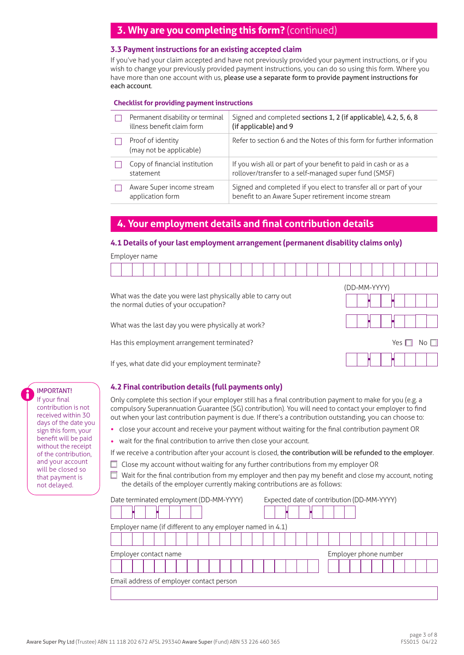# **3. Why are you completing this form?** (continued)

## **3.3 Payment instructions for an existing accepted claim**

If you've had your claim accepted and have not previously provided your payment instructions, or if you wish to change your previously provided payment instructions, you can do so using this form. Where you have more than one account with us, please use a separate form to provide payment instructions for each account.

#### **Checklist for providing payment instructions**

| Permanent disability or terminal<br>illness benefit claim form | Signed and completed sections 1, 2 (if applicable), 4.2, 5, 6, 8<br>(if applicable) and 9                                |
|----------------------------------------------------------------|--------------------------------------------------------------------------------------------------------------------------|
| Proof of identity<br>(may not be applicable)                   | Refer to section 6 and the Notes of this form for further information                                                    |
| Copy of financial institution<br>statement                     | If you wish all or part of your benefit to paid in cash or as a<br>rollover/transfer to a self-managed super fund (SMSF) |
| Aware Super income stream<br>application form                  | Signed and completed if you elect to transfer all or part of your<br>benefit to an Aware Super retirement income stream  |

# **4. Your employment details and final contribution details**

#### **4.1 Details of your last employment arrangement (permanent disability claims only)**

| Employer name                                                                                         |              |  |  |  |  |  |  |
|-------------------------------------------------------------------------------------------------------|--------------|--|--|--|--|--|--|
|                                                                                                       |              |  |  |  |  |  |  |
|                                                                                                       | (DD-MM-YYYY) |  |  |  |  |  |  |
| What was the date you were last physically able to carry out<br>the normal duties of your occupation? |              |  |  |  |  |  |  |
| What was the last day you were physically at work?                                                    |              |  |  |  |  |  |  |
| Has this employment arrangement terminated?<br>Yes                                                    |              |  |  |  |  |  |  |
| If yes, what date did your employment terminate?                                                      |              |  |  |  |  |  |  |

If yes, what date did your employment terminate?

## **4.2 Final contribution details (full payments only)**

Only complete this section if your employer still has a final contribution payment to make for you (e.g. a compulsory Superannuation Guarantee (SG) contribution). You will need to contact your employer to find out when your last contribution payment is due. If there's a contribution outstanding, you can choose to:

- close your account and receive your payment without waiting for the final contribution payment OR
- wait for the final contribution to arrive then close your account.

If we receive a contribution after your account is closed, the contribution will be refunded to the employer.

- $\Box$  Close my account without waiting for any further contributions from my employer OR
- Wait for the final contribution from my employer and then pay my benefit and close my account, noting  $\Box$ the details of the employer currently making contributions are as follows:

| Date terminated employment (DD-MM-YYYY)                   | Expected date of contribution (DD-MM-YYYY) |  |  |  |  |  |  |  |  |  |
|-----------------------------------------------------------|--------------------------------------------|--|--|--|--|--|--|--|--|--|
|                                                           |                                            |  |  |  |  |  |  |  |  |  |
| Employer name (if different to any employer named in 4.1) |                                            |  |  |  |  |  |  |  |  |  |
|                                                           |                                            |  |  |  |  |  |  |  |  |  |
| Employer contact name                                     | Employer phone number                      |  |  |  |  |  |  |  |  |  |
|                                                           |                                            |  |  |  |  |  |  |  |  |  |
| Email address of employer contact person                  |                                            |  |  |  |  |  |  |  |  |  |
|                                                           |                                            |  |  |  |  |  |  |  |  |  |

## IMPORTANT!

If your final contribution is not received within 30 days of the date you sign this form, your benefit will be paid without the receipt of the contribution, and your account will be closed so that payment is not delayed.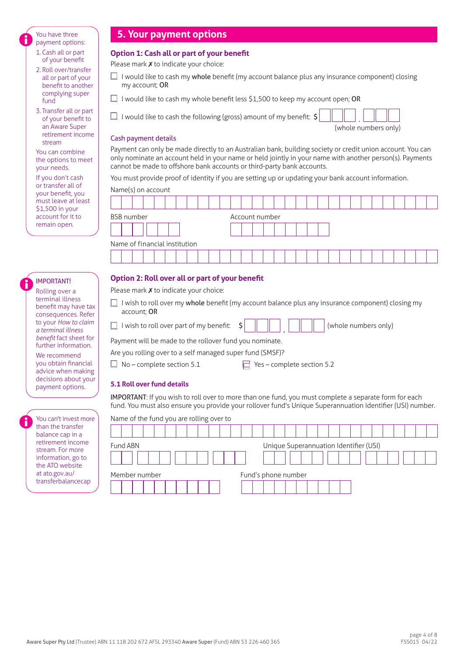You have three payment options:

- 1. Cash all or part of your benefit
- 2. Roll over/transfer all or part of your benefit to another complying super fund
- 3. Transfer all or part of your benefit to an Aware Super retirement income stream

You can combine the options to meet your needs.

If you don't cash or transfer all of your benefit, you must leave at least \$1,500 in your account for it to remain open.

## IMPORTANT!

Rolling over a terminal illness benefit may have tax consequences. Refer to your *How to claim a terminal illness benefit* fact sheet for further information.

We recommend you obtain financial advice when making decisions about your payment options.

You can't invest more than the transfer balance cap in a retirement income stream. For more information, go to the ATO website at ato.gov.au/ transferbalancecap

# **5. Your payment options**

## **Option 1: Cash all or part of your benefit**

Please mark  $x$  to indicate your choice:

- $\Box$  I would like to cash my whole benefit (my account balance plus any insurance component) closing my account; OR
- $\Box$  I would like to cash my whole benefit less \$1.500 to keep my account open: OR

 $\Box$  I would like to cash the following (gross) amount of my benefit:  $\zeta$ 

(whole numbers only)

#### Cash payment details

Payment can only be made directly to an Australian bank, building society or credit union account. You can only nominate an account held in your name or held jointly in your name with another person(s). Payments cannot be made to offshore bank accounts or third-party bank accounts.

You must provide proof of identity if you are setting up or updating your bank account information.

Name(s) on account

| ivality of account            |                |  |  |  |  |  |  |  |  |  |
|-------------------------------|----------------|--|--|--|--|--|--|--|--|--|
|                               |                |  |  |  |  |  |  |  |  |  |
| <b>BSB</b> number             | Account number |  |  |  |  |  |  |  |  |  |
|                               |                |  |  |  |  |  |  |  |  |  |
| Name of financial institution |                |  |  |  |  |  |  |  |  |  |
|                               |                |  |  |  |  |  |  |  |  |  |

## **Option 2: Roll over all or part of your benefit**

Please mark **X** to indicate your choice:

- $\Box$  I wish to roll over my whole benefit (my account balance plus any insurance component) closing my account; OR
- $\Box$  I wish to roll over part of my benefit:  $\sin$ (whole numbers only)

Payment will be made to the rollover fund you nominate.

| Are you rolling over to a self managed super fund (SMSF)? |  |  |
|-----------------------------------------------------------|--|--|
|                                                           |  |  |

 $\Box$  No – complete section 5.1  $\Box$  Yes – complete section 5.2

## **5.1 Roll over fund details**

IMPORTANT: If you wish to roll over to more than one fund, you must complete a separate form for each fund. You must also ensure you provide your rollover fund's Unique Superannuation Identifier (USI) number.

| Name of the fund you are rolling over to |                                        |
|------------------------------------------|----------------------------------------|
|                                          |                                        |
| Fund ABN                                 | Unique Superannuation Identifier (USI) |
|                                          |                                        |
| Member number                            | Fund's phone number                    |
|                                          |                                        |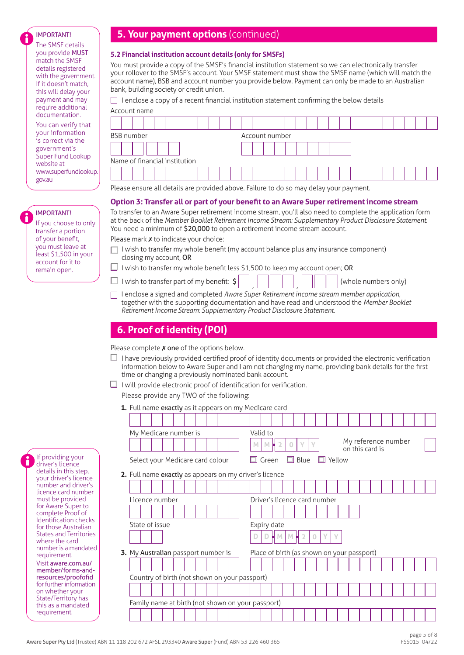#### IMPORTANT!

The SMSF details you provide MUST match the SMSF details registered with the government. If it doesn't match, this will delay your payment and may require additional documentation. You can verify that your information is correct via the

government's Super Fund Lookup website at www.superfundlookup. gov.au

IMPORTANT! If you choose to only transfer a portion of your benefit, you must leave at least \$1,500 in your account for it to remain open.

# **5. Your payment options** (continued)

#### **5.2 Financial institution account details (only for SMSFs)**

You must provide a copy of the SMSF's financial institution statement so we can electronically transfer your rollover to the SMSF's account. Your SMSF statement must show the SMSF name (which will match the account name), BSB and account number you provide below. Payment can only be made to an Australian bank, building society or credit union.

 $\Box$  I enclose a copy of a recent financial institution statement confirming the below details

| Account name                  |                |  |  |  |  |  |  |  |  |  |
|-------------------------------|----------------|--|--|--|--|--|--|--|--|--|
|                               |                |  |  |  |  |  |  |  |  |  |
| <b>BSB</b> number             | Account number |  |  |  |  |  |  |  |  |  |
|                               |                |  |  |  |  |  |  |  |  |  |
| Name of financial institution |                |  |  |  |  |  |  |  |  |  |
|                               |                |  |  |  |  |  |  |  |  |  |

Please ensure all details are provided above. Failure to do so may delay your payment.

## **Option 3: Transfer all or part of your benefit to an Aware Super retirement income stream**

To transfer to an Aware Super retirement income stream, you'll also need to complete the application form at the back of the *Member Booklet Retirement Income Stream: Supplementary Product Disclosure Statement.* You need a minimum of \$20,000 to open a retirement income stream account.

Please mark **x** to indicate your choice:

- $\Box$  I wish to transfer my whole benefit (my account balance plus any insurance component) closing my account, OR
- $\Box$  I wish to transfer my whole benefit less \$1,500 to keep my account open; OR
- $\Box$  I wish to transfer part of my benefit:  $\zeta$
- I enclose a signed and completed *Aware Super Retirement income stream member application*, together with the supporting documentation and have read and understood the *Member Booklet Retirement Income Stream: Supplementary Product Disclosure Statement*.

(whole numbers only)

# **6. Proof of identity (POI)**

Please complete  *one of the options below.* 

- $\Box$  I have previously provided certified proof of identity documents or provided the electronic verification information below to Aware Super and I am not changing my name, providing bank details for the first time or changing a previously nominated bank account.
- $\Box$  I will provide electronic proof of identification for verification. Please provide any TWO of the following:
	- **1.** Full name exactly as it appears on my Medicare card

|                |                | My Medicare number is                                  |  |  |   | Valid to                                   |                |          |   |   |                           |                                        |  |  |  |
|----------------|----------------|--------------------------------------------------------|--|--|---|--------------------------------------------|----------------|----------|---|---|---------------------------|----------------------------------------|--|--|--|
|                |                |                                                        |  |  | M | M                                          | $\overline{2}$ | $\Omega$ | Y | Y |                           | My reference number<br>on this card is |  |  |  |
|                |                | Select your Medicare card colour                       |  |  |   | $\Box$ Green                               |                |          |   |   | $\Box$ Blue $\Box$ Yellow |                                        |  |  |  |
|                |                | 2. Full name exactly as appears on my driver's licence |  |  |   |                                            |                |          |   |   |                           |                                        |  |  |  |
|                |                |                                                        |  |  |   |                                            |                |          |   |   |                           |                                        |  |  |  |
|                | Licence number |                                                        |  |  |   | Driver's licence card number               |                |          |   |   |                           |                                        |  |  |  |
|                |                |                                                        |  |  |   |                                            |                |          |   |   |                           |                                        |  |  |  |
|                |                |                                                        |  |  |   | Expiry date                                |                |          |   |   |                           |                                        |  |  |  |
| State of issue |                |                                                        |  |  |   |                                            |                |          |   |   |                           |                                        |  |  |  |
|                |                |                                                        |  |  |   |                                            |                |          |   |   | $\vee$                    |                                        |  |  |  |
|                |                | 3. My Australian passport number is                    |  |  |   | Place of birth (as shown on your passport) |                |          |   |   |                           |                                        |  |  |  |
|                |                |                                                        |  |  |   |                                            |                |          |   |   |                           |                                        |  |  |  |
|                |                |                                                        |  |  |   |                                            |                |          |   |   |                           |                                        |  |  |  |
|                |                | Country of birth (not shown on your passport)          |  |  |   |                                            |                |          |   |   |                           |                                        |  |  |  |
|                |                |                                                        |  |  |   |                                            |                |          |   |   |                           |                                        |  |  |  |
|                |                | Family name at birth (not shown on your passport)      |  |  |   |                                            |                |          |   |   |                           |                                        |  |  |  |

If providing your driver's licence details in this step, your driver's licence number and driver's licence card number must be provided for Aware Super to complete Proof of Identification checks for those Australian States and Territories where the card number is a mandated requirement. Visit aware.com.au/ [member/forms-and](https://aware.com.au/member/forms-and-resources/proofofid)resources/proofofid for further information on whether your State/Territory has this as a mandated requirement.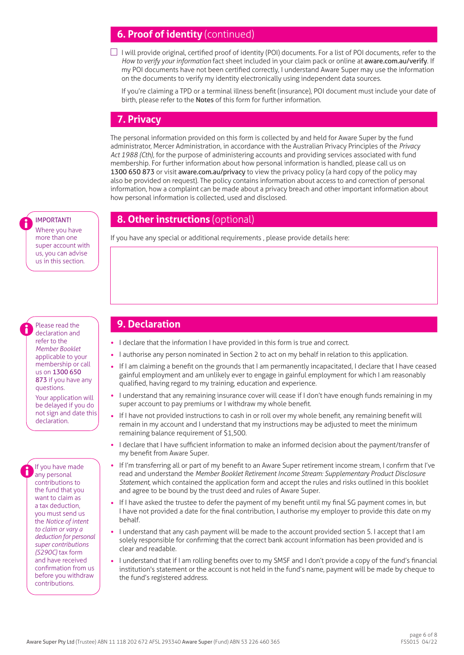# **6. Proof of identity** (continued)

 $\Box$  I will provide original, certified proof of identity (POI) documents. For a list of POI documents, refer to the *How to verify your information* fact sheet included in your claim pack or online at [aware.com.au/verify](https://aware.com.au/verify). If my POI documents have not been certified correctly, I understand Aware Super may use the information on the documents to verify my identity electronically using independent data sources.

If you're claiming a TPD or a terminal illness benefit (insurance), POI document must include your date of birth, please refer to the Notes of this form for further information.

# **7. Privacy**

The personal information provided on this form is collected by and held for Aware Super by the fund administrator, Mercer Administration, in accordance with the Australian Privacy Principles of the *Privacy Act 1988 (Cth),* for the purpose of administering accounts and providing services associated with fund membership. For further information about how personal information is handled, please call us on 1300 650 873 or visit [aware.com.au/privacy](https://aware.com.au/privacy) to view the privacy policy (a hard copy of the policy may also be provided on request). The policy contains information about access to and correction of personal information, how a complaint can be made about a privacy breach and other important information about how personal information is collected, used and disclosed.

# **8. Other instructions** (optional)

If you have any special or additional requirements , please provide details here:

# **9. Declaration**

- I declare that the information I have provided in this form is true and correct.
- I authorise any person nominated in Section 2 to act on my behalf in relation to this application.
- If I am claiming a benefit on the grounds that I am permanently incapacitated, I declare that I have ceased gainful employment and am unlikely ever to engage in gainful employment for which I am reasonably qualified, having regard to my training, education and experience.
- I understand that any remaining insurance cover will cease if I don't have enough funds remaining in my super account to pay premiums or I withdraw my whole benefit.
- If I have not provided instructions to cash in or roll over my whole benefit, any remaining benefit will remain in my account and I understand that my instructions may be adjusted to meet the minimum remaining balance requirement of \$1,500.
- I declare that I have sufficient information to make an informed decision about the payment/transfer of my benefit from Aware Super.
- If I'm transferring all or part of my benefit to an Aware Super retirement income stream, I confirm that I've read and understand the *Member Booklet Retirement Income Stream: Supplementary Product Disclosure Statement*, which contained the application form and accept the rules and risks outlined in this booklet and agree to be bound by the trust deed and rules of Aware Super.
- If I have asked the trustee to defer the payment of my benefit until my final SG payment comes in, but I have not provided a date for the final contribution, I authorise my employer to provide this date on my behalf.
- I understand that any cash payment will be made to the account provided section 5. I accept that I am solely responsible for confirming that the correct bank account information has been provided and is clear and readable.
- I understand that if I am rolling benefits over to my SMSF and I don't provide a copy of the fund's financial institution's statement or the account is not held in the fund's name, payment will be made by cheque to the fund's registered address.

## IMPORTANT!

Where you have more than one super account with us, you can advise us in this section.

 Please read the declaration and refer to the *Member Booklet* applicable to your membership or call us on 1300 650 873 if you have any questions.

Your application will be delayed if you do not sign and date this declaration.

If you have made any personal contributions to the fund that you want to claim as a tax deduction, you must send us the *Notice of intent to claim or vary a deduction for personal super contributions (S290C)* tax form and have received confirmation from us before you withdraw contributions.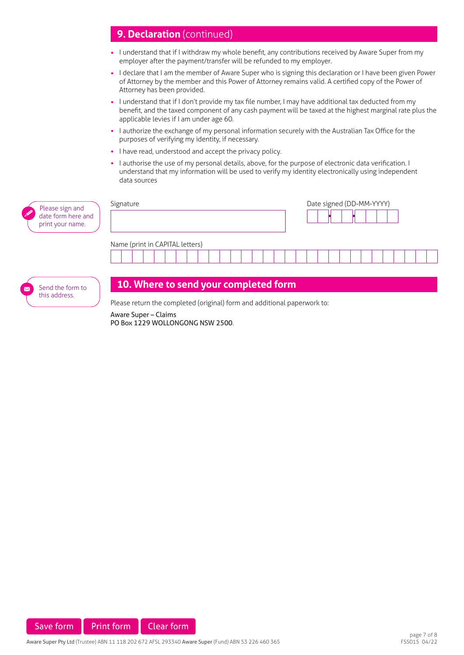# **9. Declaration** (continued)

- I understand that if I withdraw my whole benefit, any contributions received by Aware Super from my employer after the payment/transfer will be refunded to my employer.
- I declare that I am the member of Aware Super who is signing this declaration or I have been given Power of Attorney by the member and this Power of Attorney remains valid. A certified copy of the Power of Attorney has been provided.
- I understand that if I don't provide my tax file number, I may have additional tax deducted from my benefit, and the taxed component of any cash payment will be taxed at the highest marginal rate plus the applicable levies if I am under age 60.
- I authorize the exchange of my personal information securely with the Australian Tax Office for the purposes of verifying my identity, if necessary.
- I have read, understood and accept the privacy policy.
- I authorise the use of my personal details, above, for the purpose of electronic data verification. I understand that my information will be used to verify my identity electronically using independent data sources

| Please sign and<br>$\mathscr{D}$<br>date form here and<br>print your name. | Signature                             | Date signed (DD-MM-YYYY) |
|----------------------------------------------------------------------------|---------------------------------------|--------------------------|
|                                                                            | Name (print in CAPITAL letters)       |                          |
|                                                                            |                                       |                          |
|                                                                            |                                       |                          |
| Send the form to                                                           | 10. Where to send your completed form |                          |

Please return the completed (original) form and additional paperwork to:

Aware Super – Claims PO Box 1229 WOLLONGONG NSW 2500.



this address.